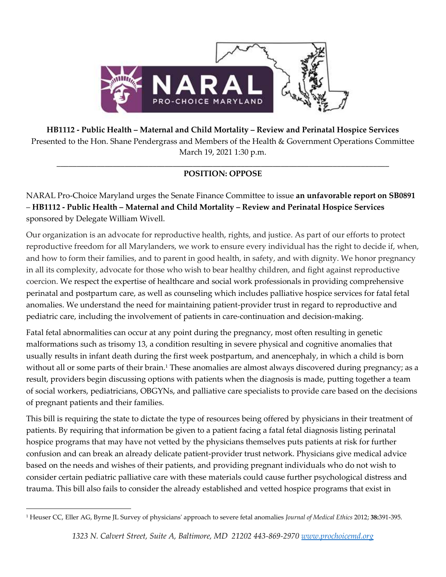

**HB1112 - Public Health – Maternal and Child Mortality – Review and Perinatal Hospice Services** Presented to the Hon. Shane Pendergrass and Members of the Health & Government Operations Committee March 19, 2021 1:30 p.m.

## \_\_\_\_\_\_\_\_\_\_\_\_\_\_\_\_\_\_\_\_\_\_\_\_\_\_\_\_\_\_\_\_\_\_\_\_\_\_\_\_\_\_\_\_\_\_\_\_\_\_\_\_\_\_\_\_\_\_\_\_\_\_\_\_\_\_\_\_\_\_\_\_\_\_\_\_\_\_\_\_\_\_\_ **POSITION: OPPOSE**

NARAL Pro-Choice Maryland urges the Senate Finance Committee to issue **an unfavorable report on SB0891** – **HB1112 - Public Health – Maternal and Child Mortality – Review and Perinatal Hospice Services** sponsored by Delegate William Wivell.

Our organization is an advocate for reproductive health, rights, and justice. As part of our efforts to protect reproductive freedom for all Marylanders, we work to ensure every individual has the right to decide if, when, and how to form their families, and to parent in good health, in safety, and with dignity. We honor pregnancy in all its complexity, advocate for those who wish to bear healthy children, and fight against reproductive coercion. We respect the expertise of healthcare and social work professionals in providing comprehensive perinatal and postpartum care, as well as counseling which includes palliative hospice services for fatal fetal anomalies. We understand the need for maintaining patient-provider trust in regard to reproductive and pediatric care, including the involvement of patients in care-continuation and decision-making.

Fatal fetal abnormalities can occur at any point during the pregnancy, most often resulting in genetic malformations such as trisomy 13, a condition resulting in severe physical and cognitive anomalies that usually results in infant death during the first week postpartum, and anencephaly, in which a child is born without all or some parts of their brain.<sup>1</sup> These anomalies are almost always discovered during pregnancy; as a result, providers begin discussing options with patients when the diagnosis is made, putting together a team of social workers, pediatricians, OBGYNs, and palliative care specialists to provide care based on the decisions of pregnant patients and their families.

This bill is requiring the state to dictate the type of resources being offered by physicians in their treatment of patients. By requiring that information be given to a patient facing a fatal fetal diagnosis listing perinatal hospice programs that may have not vetted by the physicians themselves puts patients at risk for further confusion and can break an already delicate patient-provider trust network. Physicians give medical advice based on the needs and wishes of their patients, and providing pregnant individuals who do not wish to consider certain pediatric palliative care with these materials could cause further psychological distress and trauma. This bill also fails to consider the already established and vetted hospice programs that exist in

<sup>1</sup> Heuser CC, Eller AG, Byrne JL Survey of physicians' approach to severe fetal anomalies *Journal of Medical Ethics* 2012; **38:**391-395.